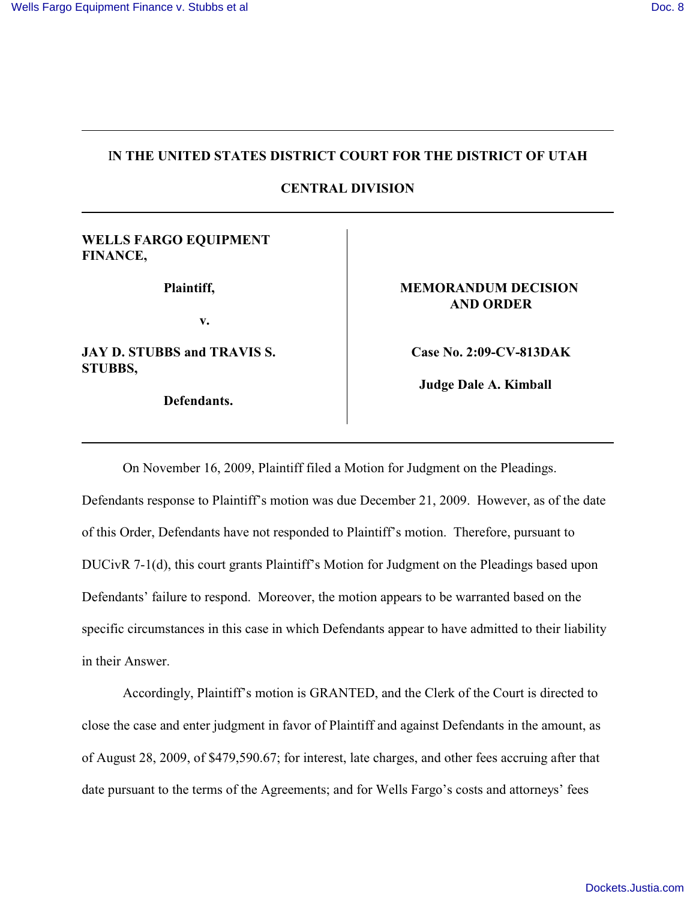## I**N THE UNITED STATES DISTRICT COURT FOR THE DISTRICT OF UTAH**

**CENTRAL DIVISION**

## **WELLS FARGO EQUIPMENT FINANCE,**

**Plaintiff,**

**v.**

**JAY D. STUBBS and TRAVIS S. STUBBS,**

**Defendants.** 

## **MEMORANDUM DECISION AND ORDER**

**Case No. 2:09-CV-813DAK**

 **Judge Dale A. Kimball** 

On November 16, 2009, Plaintiff filed a Motion for Judgment on the Pleadings. Defendants response to Plaintiff's motion was due December 21, 2009. However, as of the date of this Order, Defendants have not responded to Plaintiff's motion. Therefore, pursuant to DUCivR 7-1(d), this court grants Plaintiff's Motion for Judgment on the Pleadings based upon Defendants' failure to respond. Moreover, the motion appears to be warranted based on the specific circumstances in this case in which Defendants appear to have admitted to their liability in their Answer.

Accordingly, Plaintiff's motion is GRANTED, and the Clerk of the Court is directed to close the case and enter judgment in favor of Plaintiff and against Defendants in the amount, as of August 28, 2009, of \$479,590.67; for interest, late charges, and other fees accruing after that date pursuant to the terms of the Agreements; and for Wells Fargo's costs and attorneys' fees